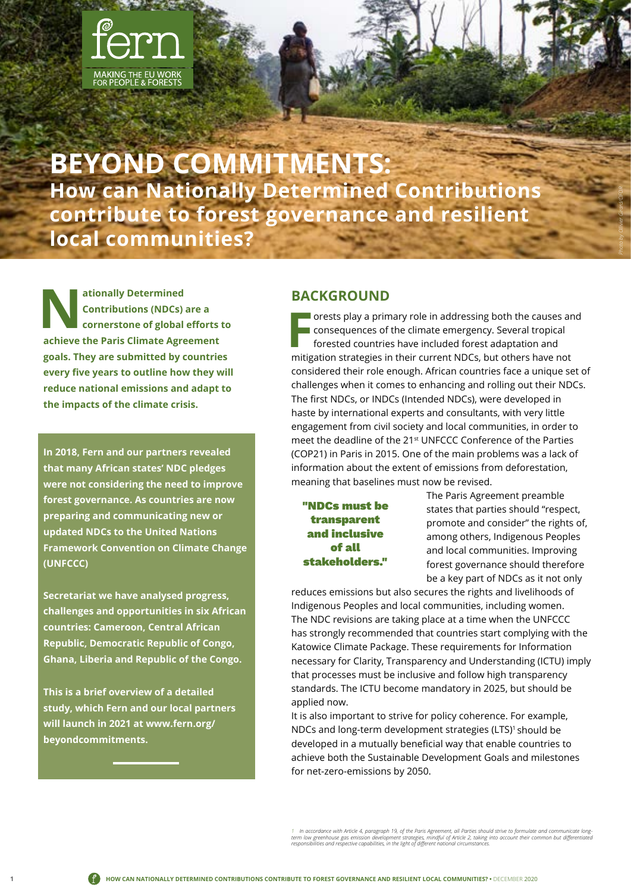

# **BEYOND COMMITMENTS: How can Nationally Determined Contributions contribute to forest governance and resilient local communities?**

**BACKGROUND**<br> **N**<br> **EXECUTERCOUND**<br> **N**<br> **EXECUTERCOUND**<br> **EXECUTERCOUND**<br> **EXECUTERCOUND**<br> **EXECUTERCOUND**<br> **EXECUTERCOUND**<br> **EXECUTERCOUND**<br> **EXECUTERCOUND**<br> **EXECUTERCOUND**<br> **EXECUTERCOUND**<br> **EXECUTERCOUND**<br> **EXECUTERCO Contributions (NDCs) are a cornerstone of global efforts to achieve the Paris Climate Agreement goals. They are submitted by countries every five years to outline how they will reduce national emissions and adapt to the impacts of the climate crisis.** 

**In 2018, Fern and our partners revealed that many African states' NDC pledges were not considering the need to improve forest governance. As countries are now preparing and communicating new or updated NDCs to the United Nations Framework Convention on Climate Change (UNFCCC)** 

**Secretariat we have analysed progress, challenges and opportunities in six African countries: Cameroon, Central African Republic, Democratic Republic of Congo, Ghana, Liberia and Republic of the Congo.**

**This is a brief overview of a detailed study, which Fern and our local partners will launch in 2021 at www.fern.org/ beyondcommitments.**

**FFE OF STATE STATE STATE STATE STATE STATE STATE STATE STATE STATE STATE STATE STATE STATE STATE STATE STATE STATE STATE STATE STATE STATE STATE STATE STATE STATE STATE STATE STATE STATE STATE STATE STATE STATE STATE STAT** orests play a primary role in addressing both the causes and **Consequences of the climate emergency. Several tropical** forested countries have included forest adaptation and considered their role enough. African countries face a unique set of challenges when it comes to enhancing and rolling out their NDCs. The first NDCs, or INDCs (Intended NDCs), were developed in haste by international experts and consultants, with very little engagement from civil society and local communities, in order to meet the deadline of the 21<sup>st</sup> UNFCCC Conference of the Parties (COP21) in Paris in 2015. One of the main problems was a lack of information about the extent of emissions from deforestation, meaning that baselines must now be revised.

"NDCs must be transparent and inclusive of all stakeholders."

The Paris Agreement preamble states that parties should "respect, promote and consider" the rights of, among others, Indigenous Peoples and local communities. Improving forest governance should therefore be a key part of NDCs as it not only

*Photo by Ollivier Girard/CIFOR*

reduces emissions but also secures the rights and livelihoods of Indigenous Peoples and local communities, including women. The NDC revisions are taking place at a time when the UNFCCC has strongly recommended that countries start complying with the Katowice Climate Package. These requirements for Information necessary for Clarity, Transparency and Understanding (ICTU) imply that processes must be inclusive and follow high transparency standards. The ICTU become mandatory in 2025, but should be applied now.

It is also important to strive for policy coherence. For example, NDCs and long-term development strategies (LTS)<sup>1</sup> should be developed in a mutually beneficial way that enable countries to achieve both the Sustainable Development Goals and milestones for net-zero-emissions by 2050.

1 In accordance with Article 4, paragraph 19, of the Paris Agreement, all Parties should strive to formulate and communicate long-<br>term low greenhouse gas emission development strategies, mindful of Article 2, taking into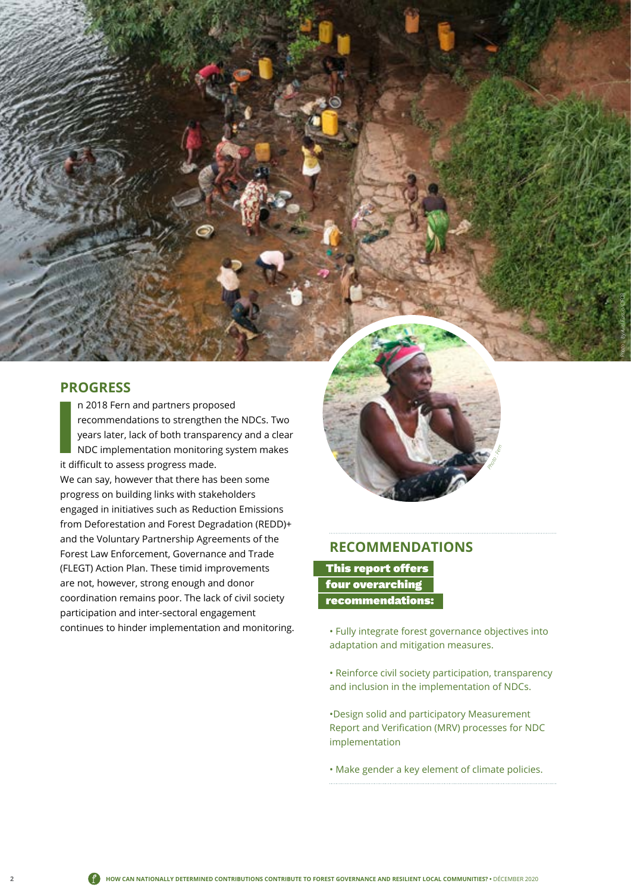**PROGRESS** 

In 2018 Fern and partners proper recommendations to strengthe years later, lack of both transpartners and the MDC implementation monitoring it difficult to assess progress made. n 2018 Fern and partners proposed recommendations to strengthen the NDCs. Two years later, lack of both transparency and a clear  $\overline{\phantom{a}}$  NDC implementation monitoring system makes We can say, however that there has been some progress on building links with stakeholders engaged in initiatives such as Reduction Emissions from Deforestation and Forest Degradation (REDD)+ and the Voluntary Partnership Agreements of the Forest Law Enforcement, Governance and Trade (FLEGT) Action Plan. These timid improvements are not, however, strong enough and donor coordination remains poor. The lack of civil society

participation and inter-sectoral engagement

continues to hinder implementation and monitoring.



*Photo : by Axel Fassio/CIFOR*

### **RECOMMENDATIONS**

This report offers four overarching recommendations:

• Fully integrate forest governance objectives into adaptation and mitigation measures.

- Reinforce civil society participation, transparency and inclusion in the implementation of NDCs.
- •Design solid and participatory Measurement Report and Verification (MRV) processes for NDC implementation
- Make gender a key element of climate policies.